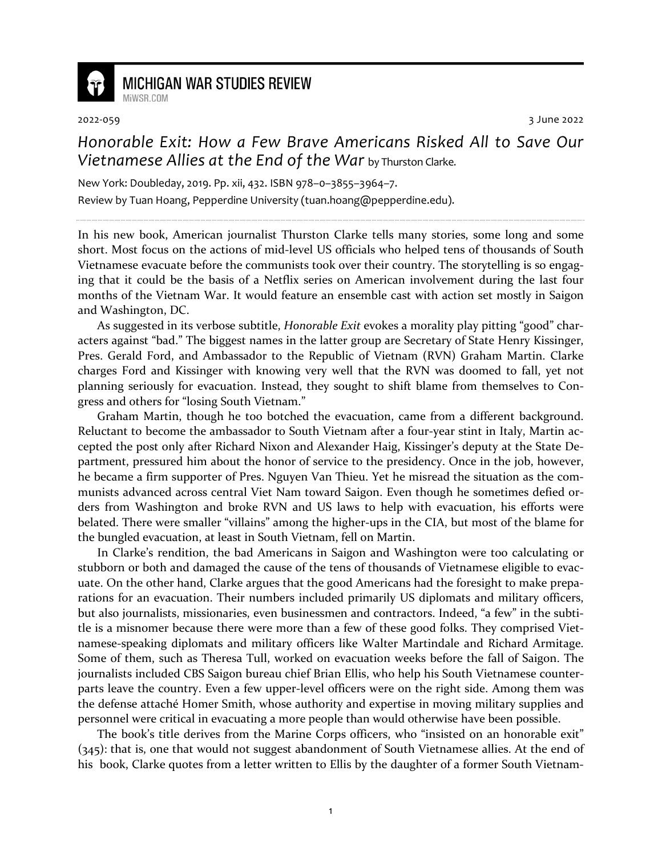

**MICHIGAN WAR STUDIES REVIEW** MiWSR.COM

2022-059 3 June 2022

## *Honorable Exit: How a Few Brave Americans Risked All to Save Our Vietnamese Allies at the End of the War* by Thurston Clarke.

New York: Doubleday, 2019. Pp. xii, 432. ISBN 978–0–3855–3964–7.

Review by Tuan Hoang, Pepperdine University (tuan.hoang@pepperdine.edu).

In his new book, American journalist Thurston Clarke tells many stories, some long and some short. Most focus on the actions of mid-level US officials who helped tens of thousands of South Vietnamese evacuate before the communists took over their country. The storytelling is so engaging that it could be the basis of a Netflix series on American involvement during the last four months of the Vietnam War. It would feature an ensemble cast with action set mostly in Saigon and Washington, DC.

As suggested in its verbose subtitle, *Honorable Exit* evokes a morality play pitting "good" characters against "bad." The biggest names in the latter group are Secretary of State Henry Kissinger, Pres. Gerald Ford, and Ambassador to the Republic of Vietnam (RVN) Graham Martin. Clarke charges Ford and Kissinger with knowing very well that the RVN was doomed to fall, yet not planning seriously for evacuation. Instead, they sought to shift blame from themselves to Congress and others for "losing South Vietnam."

Graham Martin, though he too botched the evacuation, came from a different background. Reluctant to become the ambassador to South Vietnam after a four-year stint in Italy, Martin accepted the post only after Richard Nixon and Alexander Haig, Kissinger's deputy at the State Department, pressured him about the honor of service to the presidency. Once in the job, however, he became a firm supporter of Pres. Nguyen Van Thieu. Yet he misread the situation as the communists advanced across central Viet Nam toward Saigon. Even though he sometimes defied orders from Washington and broke RVN and US laws to help with evacuation, his efforts were belated. There were smaller "villains" among the higher-ups in the CIA, but most of the blame for the bungled evacuation, at least in South Vietnam, fell on Martin.

In Clarke's rendition, the bad Americans in Saigon and Washington were too calculating or stubborn or both and damaged the cause of the tens of thousands of Vietnamese eligible to evacuate. On the other hand, Clarke argues that the good Americans had the foresight to make preparations for an evacuation. Their numbers included primarily US diplomats and military officers, but also journalists, missionaries, even businessmen and contractors. Indeed, "a few" in the subtitle is a misnomer because there were more than a few of these good folks. They comprised Vietnamese-speaking diplomats and military officers like Walter Martindale and Richard Armitage. Some of them, such as Theresa Tull, worked on evacuation weeks before the fall of Saigon. The journalists included CBS Saigon bureau chief Brian Ellis, who help his South Vietnamese counterparts leave the country. Even a few upper-level officers were on the right side. Among them was the defense attaché Homer Smith, whose authority and expertise in moving military supplies and personnel were critical in evacuating a more people than would otherwise have been possible.

The book's title derives from the Marine Corps officers, who "insisted on an honorable exit" (345): that is, one that would not suggest abandonment of South Vietnamese allies. At the end of his book, Clarke quotes from a letter written to Ellis by the daughter of a former South Vietnam